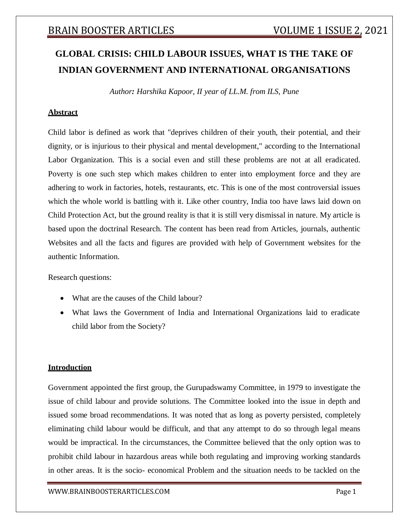# **GLOBAL CRISIS: CHILD LABOUR ISSUES, WHAT IS THE TAKE OF INDIAN GOVERNMENT AND INTERNATIONAL ORGANISATIONS**

*Author: Harshika Kapoor, II year of LL.M. from ILS, Pune*

#### **Abstract**

Child labor is defined as work that "deprives children of their youth, their potential, and their dignity, or is injurious to their physical and mental development," according to the International Labor Organization. This is a social even and still these problems are not at all eradicated. Poverty is one such step which makes children to enter into employment force and they are adhering to work in factories, hotels, restaurants, etc. This is one of the most controversial issues which the whole world is battling with it. Like other country, India too have laws laid down on Child Protection Act, but the ground reality is that it is still very dismissal in nature. My article is based upon the doctrinal Research. The content has been read from Articles, journals, authentic Websites and all the facts and figures are provided with help of Government websites for the authentic Information.

Research questions:

- What are the causes of the Child labour?
- What laws the Government of India and International Organizations laid to eradicate child labor from the Society?

#### **Introduction**

Government appointed the first group, the Gurupadswamy Committee, in 1979 to investigate the issue of child labour and provide solutions. The Committee looked into the issue in depth and issued some broad recommendations. It was noted that as long as poverty persisted, completely eliminating child labour would be difficult, and that any attempt to do so through legal means would be impractical. In the circumstances, the Committee believed that the only option was to prohibit child labour in hazardous areas while both regulating and improving working standards in other areas. It is the socio- economical Problem and the situation needs to be tackled on the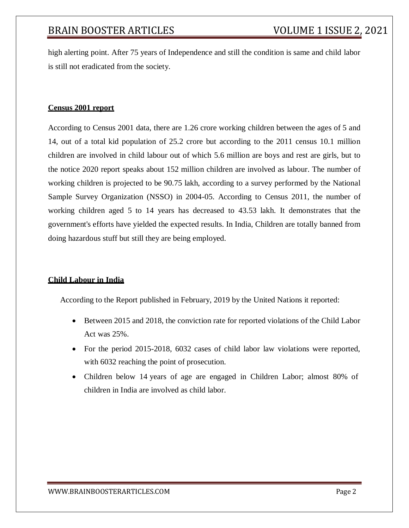high alerting point. After 75 years of Independence and still the condition is same and child labor is still not eradicated from the society.

### **Census 2001 report**

According to Census 2001 data, there are 1.26 crore working children between the ages of 5 and 14, out of a total kid population of 25.2 crore but according to the 2011 census 10.1 million children are involved in child labour out of which 5.6 million are boys and rest are girls, but to the notice 2020 report speaks about 152 million children are involved as labour. The number of working children is projected to be 90.75 lakh, according to a survey performed by the National Sample Survey Organization (NSSO) in 2004-05. According to Census 2011, the number of working children aged 5 to 14 years has decreased to 43.53 lakh. It demonstrates that the government's efforts have yielded the expected results. In India, Children are totally banned from doing hazardous stuff but still they are being employed.

#### **Child Labour in India**

According to the Report published in February, 2019 by the United Nations it reported:

- Between 2015 and 2018, the conviction rate for reported violations of the Child Labor Act was 25%.
- For the period 2015-2018, 6032 cases of child labor law violations were reported, with  $6032$  reaching the point of prosecution.
- Children below 14 years of age are engaged in Children Labor; almost 80% of children in India are involved as child labor.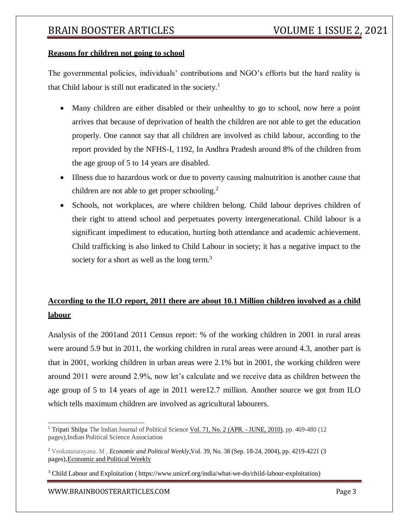#### **Reasons for children not going to school**

The governmental policies, individuals' contributions and NGO's efforts but the hard reality is that Child labour is still not eradicated in the society.<sup>1</sup>

- Many children are either disabled or their unhealthy to go to school, now here a point arrives that because of deprivation of health the children are not able to get the education properly. One cannot say that all children are involved as child labour, according to the report provided by the NFHS-I, 1192, In Andhra Pradesh around 8% of the children from the age group of 5 to 14 years are disabled.
- Illness due to hazardous work or due to poverty causing malnutrition is another cause that children are not able to get proper schooling.<sup>2</sup>
- Schools, not workplaces, are where children belong. Child labour deprives children of their right to attend school and perpetuates poverty intergenerational. Child labour is a significant impediment to education, hurting both attendance and academic achievement. Child trafficking is also linked to Child Labour in society; it has a negative impact to the society for a short as well as the long term.<sup>3</sup>

## **According to the ILO report, 2011 there are about 10.1 Million children involved as a child labour**

Analysis of the 2001and 2011 Census report: % of the working children in 2001 in rural areas were around 5.9 but in 2011, the working children in rural areas were around 4.3, another part is that in 2001, working children in urban areas were 2.1% but in 2001, the working children were around 2011 were around 2.9%, now let's calculate and we receive data as children between the age group of 5 to 14 years of age in 2011 were12.7 million. Another source we got from ILO which tells maximum children are involved as agricultural labourers.

[WWW.BRAINBOOSTERARTICLES.COM](http://www.brainboosterarticles.com/) Page 3

<sup>&</sup>lt;sup>1</sup> Tripati Shilpa The Indian Journal of Political Science Vol. 71, No. 2 (APR. - JUNE, [2010\), p](https://www.jstor.org/stable/i40103985)p. 469-480 (12 pages),Indian Political Science Association

<sup>2</sup> Venkatanarayana. M , *Economic and Political Weekly*,Vol. 39, No. 38 (Sep. 18-24, 2004), pp. 4219-4221 (3 pages[\),Economic](https://www.jstor.org/publisher/epw) and Political Weekly

<sup>3</sup> Child Labour and Exploitation ( https:/[/www.unicef.org/india/what-we-do/child-labour-exploitation\)](http://www.unicef.org/india/what-we-do/child-labour-exploitation))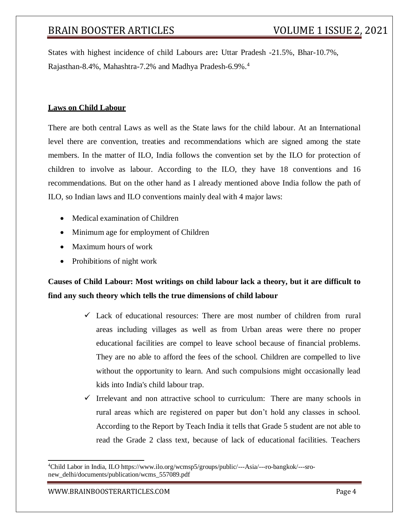States with highest incidence of child Labours are**:** Uttar Pradesh -21.5%, Bhar-10.7%, Rajasthan-8.4%, Mahashtra-7.2% and Madhya Pradesh-6.9%.<sup>4</sup>

#### **Laws on Child Labour**

There are both central Laws as well as the State laws for the child labour. At an International level there are convention, treaties and recommendations which are signed among the state members. In the matter of ILO, India follows the convention set by the ILO for protection of children to involve as labour. According to the ILO, they have 18 conventions and 16 recommendations. But on the other hand as I already mentioned above India follow the path of ILO, so Indian laws and ILO conventions mainly deal with 4 major laws:

- Medical examination of Children
- Minimum age for employment of Children
- Maximum hours of work
- Prohibitions of night work

## **Causes of Child Labour: Most writings on child labour lack a theory, but it are difficult to find any such theory which tells the true dimensions of child labour**

- $\checkmark$  Lack of educational resources: There are most number of children from rural areas including villages as well as from Urban areas were there no proper educational facilities are compel to leave school because of financial problems. They are no able to afford the fees of the school. Children are compelled to live without the opportunity to learn. And such compulsions might occasionally lead kids into India's child labour trap.
- $\checkmark$  Irrelevant and non attractive school to curriculum: There are many schools in rural areas which are registered on paper but don't hold any classes in school. According to the Report by Teach India it tells that Grade 5 student are not able to read the Grade 2 class text, because of lack of educational facilities. Teachers

<sup>4</sup>Child Labor in India, ILO https:/[/www.ilo.org/wcmsp5/groups/public/---Asia/---ro-bangkok/---sro](http://www.ilo.org/wcmsp5/groups/public/---Asia/---ro-bangkok/---sro-)new\_delhi/documents/publication/wcms\_557089.pdf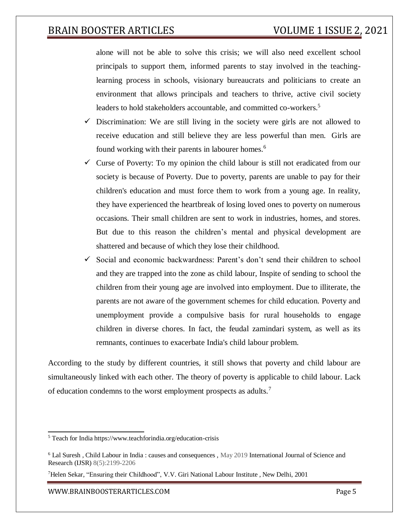alone will not be able to solve this crisis; we will also need excellent school principals to support them, informed parents to stay involved in the teachinglearning process in schools, visionary bureaucrats and politicians to create an environment that allows principals and teachers to thrive, active civil society leaders to hold stakeholders accountable, and committed co-workers.<sup>5</sup>

- $\checkmark$  Discrimination: We are still living in the society were girls are not allowed to receive education and still believe they are less powerful than men. Girls are found working with their parents in labourer homes.<sup>6</sup>
- $\checkmark$  Curse of Poverty: To my opinion the child labour is still not eradicated from our society is because of Poverty. Due to poverty, parents are unable to pay for their children's education and must force them to work from a young age. In reality, they have experienced the heartbreak of losing loved ones to poverty on numerous occasions. Their small children are sent to work in industries, homes, and stores. But due to this reason the children's mental and physical development are shattered and because of which they lose their childhood.
- $\checkmark$  Social and economic backwardness: Parent's don't send their children to school and they are trapped into the zone as child labour, Inspite of sending to school the children from their young age are involved into employment. Due to illiterate, the parents are not aware of the government schemes for child education. Poverty and unemployment provide a compulsive basis for rural households to engage children in diverse chores. In fact, the feudal zamindari system, as well as its remnants, continues to exacerbate India's child labour problem.

According to the study by different countries, it still shows that poverty and child labour are simultaneously linked with each other. The theory of poverty is applicable to child labour. Lack of education condemns to the worst employment prospects as adults.<sup>7</sup>

<sup>5</sup> Teach for India https:/[/www.teachforindia.org/education-crisis](http://www.teachforindia.org/education-crisis)

<sup>6</sup> Lal Suresh , Child Labour in India : causes and consequences , May 2019 International Journal of Science and Research (IJSR) 8(5):2199-2206

<sup>7</sup>Helen Sekar, "Ensuring their Childhood", V.V. Giri National Labour Institute , New Delhi, 2001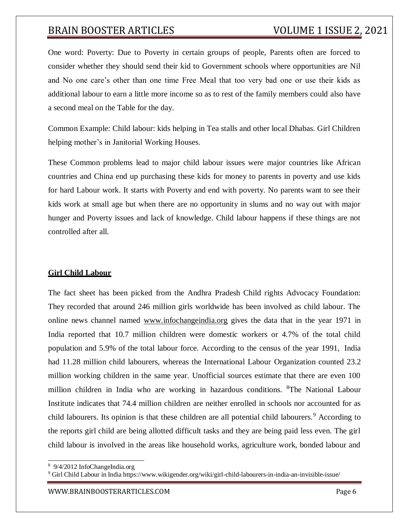One word: Poverty: Due to Poverty in certain groups of people, Parents often are forced to consider whether they should send their kid to Government schools where opportunities are Nil and No one care's other than one time Free Meal that too very bad one or use their kids as additional labour to earn a little more income so as to rest of the family members could also have a second meal on the Table for the day.

Common Example: Child labour: kids helping in Tea stalls and other local Dhabas. Girl Children helping mother's in Janitorial Working Houses.

These Common problems lead to major child labour issues were major countries like African countries and China end up purchasing these kids for money to parents in poverty and use kids for hard Labour work. It starts with Poverty and end with poverty. No parents want to see their kids work at small age but when there are no opportunity in slums and no way out with major hunger and Poverty issues and lack of knowledge. Child labour happens if these things are not controlled after all.

### **Girl Child Labour**

The fact sheet has been picked from the Andhra Pradesh Child rights Advocacy Foundation: They recorded that around 246 million girls worldwide has been involved as child labour. The online news channel named [www.infochangeindia.org](http://www.infochangeindia.org/) gives the data that in the year 1971 in India reported that 10.7 million children were domestic workers or 4.7% of the total child population and 5.9% of the total labour force. According to the census of the year 1991, India had 11.28 million child labourers, whereas the International Labour Organization counted 23.2 million working children in the same year. Unofficial sources estimate that there are even 100 million children in India who are working in hazardous conditions. <sup>8</sup>The National Labour Institute indicates that 74.4 million children are neither enrolled in schools nor accounted for as child labourers. Its opinion is that these children are all potential child labourers.<sup>9</sup> According to the reports girl child are being allotted difficult tasks and they are being paid less even. The girl child labour is involved in the areas like household works, agriculture work, bonded labour and

<sup>8</sup> 9/4/2012 InfoChangeIndia.org

<sup>9</sup> Girl Child Labour in India https:/[/www.wikigender.org/wiki/girl-child-labourers-in-india-an-invisible-issue/](http://www.wikigender.org/wiki/girl-child-labourers-in-india-an-invisible-issue/)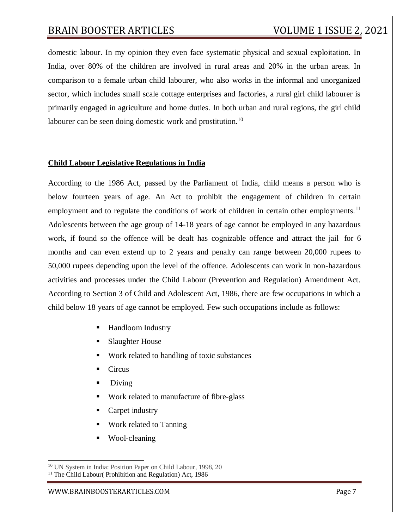domestic labour. In my opinion they even face systematic physical and sexual exploitation. In India, over 80% of the children are involved in rural areas and 20% in the urban areas. In comparison to a female urban child labourer, who also works in the informal and unorganized sector, which includes small scale cottage enterprises and factories, a rural girl child labourer is primarily engaged in agriculture and home duties. In both urban and rural regions, the girl child labourer can be seen doing domestic work and prostitution.<sup>10</sup>

#### **Child Labour Legislative Regulations in India**

According to the 1986 Act, passed by the Parliament of India, child means a person who is below fourteen years of age. An Act to prohibit the engagement of children in certain employment and to regulate the conditions of work of children in certain other employments.<sup>11</sup> Adolescents between the age group of 14-18 years of age cannot be employed in any hazardous work, if found so the offence will be dealt has cognizable offence and attract the jail for 6 months and can even extend up to 2 years and penalty can range between 20,000 rupees to 50,000 rupees depending upon the level of the offence. Adolescents can work in non-hazardous activities and processes under the Child Labour (Prevention and Regulation) Amendment Act. According to Section 3 of Child and Adolescent Act, 1986, there are few occupations in which a child below 18 years of age cannot be employed. Few such occupations include as follows:

- Handloom Industry
- Slaughter House
- Work related to handling of toxic substances
- **Circus**
- Diving
- Work related to manufacture of fibre-glass
- Carpet industry
- Work related to Tanning
- Wool-cleaning

<sup>10</sup> UN System in India: Position Paper on Child Labour, 1998, 20

 $11$  The Child Labour( Prohibition and Regulation) Act, 1986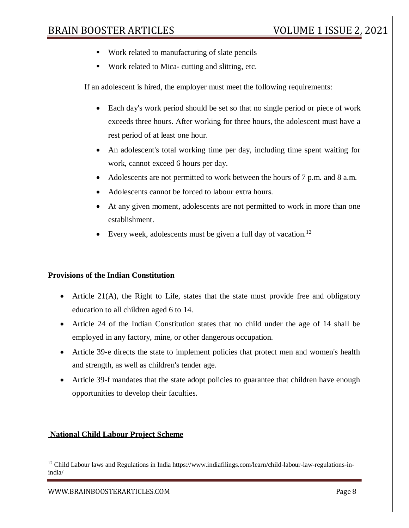- Work related to manufacturing of slate pencils
- Work related to Mica- cutting and slitting, etc.

If an adolescent is hired, the employer must meet the following requirements:

- Each day's work period should be set so that no single period or piece of work exceeds three hours. After working for three hours, the adolescent must have a rest period of at least one hour.
- An adolescent's total working time per day, including time spent waiting for work, cannot exceed 6 hours per day.
- Adolescents are not permitted to work between the hours of 7 p.m. and 8 a.m.
- Adolescents cannot be forced to labour extra hours.
- At any given moment, adolescents are not permitted to work in more than one establishment.
- Every week, adolescents must be given a full day of vacation.<sup>12</sup>

#### **Provisions of the Indian Constitution**

- Article  $21(A)$ , the Right to Life, states that the state must provide free and obligatory education to all children aged 6 to 14.
- Article 24 of the Indian Constitution states that no child under the age of 14 shall be employed in any factory, mine, or other dangerous occupation.
- Article 39-e directs the state to implement policies that protect men and women's health and strength, as well as children's tender age.
- Article 39-f mandates that the state adopt policies to guarantee that children have enough opportunities to develop their faculties.

#### **National Child Labour Project Scheme**

[WWW.BRAINBOOSTERARTICLES.COM](http://www.brainboosterarticles.com/) Page 8

<sup>&</sup>lt;sup>12</sup> Child Labour laws and Regulations in India https:/[/www.indiafilings.com/learn/child-labour-law-regulations-in](http://www.indiafilings.com/learn/child-labour-law-regulations-in-)india/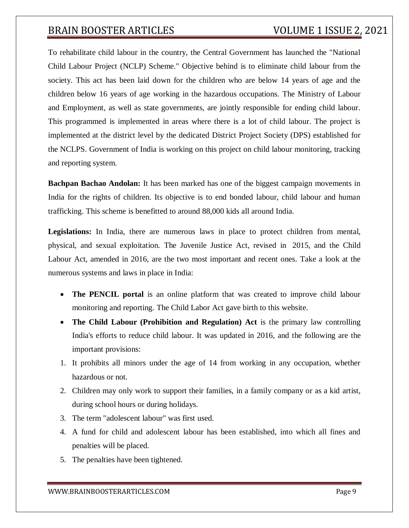To rehabilitate child labour in the country, the Central Government has launched the "National Child Labour Project (NCLP) Scheme." Objective behind is to eliminate child labour from the society. This act has been laid down for the children who are below 14 years of age and the children below 16 years of age working in the hazardous occupations. The Ministry of Labour and Employment, as well as state governments, are jointly responsible for ending child labour. This programmed is implemented in areas where there is a lot of child labour. The project is implemented at the district level by the dedicated District Project Society (DPS) established for the NCLPS. Government of India is working on this project on child labour monitoring, tracking and reporting system.

**Bachpan Bachao Andolan:** It has been marked has one of the biggest campaign movements in India for the rights of children. Its objective is to end bonded labour, child labour and human trafficking. This scheme is benefitted to around 88,000 kids all around India.

**Legislations:** In India, there are numerous laws in place to protect children from mental, physical, and sexual exploitation. The Juvenile Justice Act, revised in 2015, and the Child Labour Act, amended in 2016, are the two most important and recent ones. Take a look at the numerous systems and laws in place in India:

- **The PENCIL portal** is an online platform that was created to improve child labour monitoring and reporting. The Child Labor Act gave birth to this website.
- The Child Labour (Prohibition and Regulation) Act is the primary law controlling India's efforts to reduce child labour. It was updated in 2016, and the following are the important provisions:
- 1. It prohibits all minors under the age of 14 from working in any occupation, whether hazardous or not.
- 2. Children may only work to support their families, in a family company or as a kid artist, during school hours or during holidays.
- 3. The term "adolescent labour" was first used.
- 4. A fund for child and adolescent labour has been established, into which all fines and penalties will be placed.
- 5. The penalties have been tightened.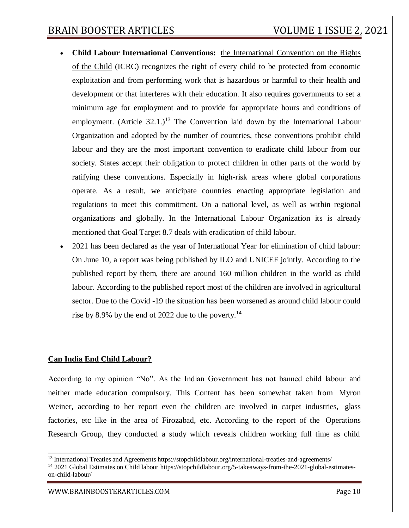- **Child Labour International Conventions:** [the International Convention on the Rights](http://www.ohchr.org/Documents/ProfessionalInterest/crc.pdf) [of the Child](http://www.ohchr.org/Documents/ProfessionalInterest/crc.pdf) (ICRC) recognizes the right of every child to be protected from economic exploitation and from performing work that is hazardous or harmful to their health and development or that interferes with their education. It also requires governments to set a minimum age for employment and to provide for appropriate hours and conditions of employment. (Article  $32.1$ .)<sup>13</sup> The Convention laid down by the International Labour Organization and adopted by the number of countries, these conventions prohibit child labour and they are the most important convention to eradicate child labour from our society. States accept their obligation to protect children in other parts of the world by ratifying these conventions. Especially in high-risk areas where global corporations operate. As a result, we anticipate countries enacting appropriate legislation and regulations to meet this commitment. On a national level, as well as within regional organizations and globally. In the International Labour Organization its is already mentioned that Goal Target 8.7 deals with eradication of child labour.
- 2021 has been declared as the year of International Year for elimination of child labour: On June 10, a report was being published by ILO and UNICEF jointly. According to the published report by them, there are around 160 million children in the world as child labour. According to the published report most of the children are involved in agricultural sector. Due to the Covid -19 the situation has been worsened as around child labour could rise by 8.9% by the end of 2022 due to the poverty.<sup>14</sup>

### **Can India End Child Labour?**

According to my opinion "No". As the Indian Government has not banned child labour and neither made education compulsory. This Content has been somewhat taken from Myron Weiner, according to her report even the children are involved in carpet industries, glass factories, etc like in the area of Firozabad, etc. According to the report of the Operations Research Group, they conducted a study which reveals children working full time as child

<sup>13</sup> International Treaties and Agreements https://stopchildlabour.org/international-treaties-and-agreements/

<sup>&</sup>lt;sup>14</sup> 2021 Global Estimates on Child labour https://stopchildlabour.org/5-takeaways-from-the-2021-global-estimateson-child-labour/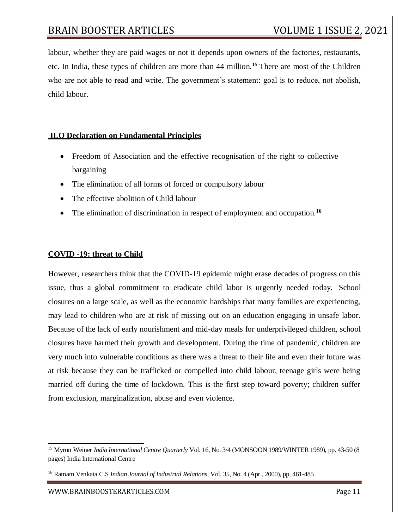labour, whether they are paid wages or not it depends upon owners of the factories, restaurants, etc. In India, these types of children are more than 44 million.**<sup>15</sup>**There are most of the Children who are not able to read and write. The government's statement: goal is to reduce, not abolish, child labour.

### **ILO Declaration on Fundamental Principles**

- Freedom of Association and the effective recognisation of the right to collective bargaining
- The elimination of all forms of forced or compulsory labour
- The effective abolition of Child labour
- The elimination of discrimination in respect of employment and occupation.**<sup>16</sup>**

### **COVID -19: threat to Child**

However, researchers think that the COVID-19 epidemic might erase decades of progress on this issue, thus a global commitment to eradicate child labor is urgently needed today. School closures on a large scale, as well as the economic hardships that many families are experiencing, may lead to children who are at risk of missing out on an education engaging in unsafe labor. Because of the lack of early nourishment and mid-day meals for underprivileged children, school closures have harmed their growth and development. During the time of pandemic, children are very much into vulnerable conditions as there was a threat to their life and even their future was at risk because they can be trafficked or compelled into child labour, teenage girls were being married off during the time of lockdown. This is the first step toward poverty; children suffer from exclusion, marginalization, abuse and even violence.

<sup>15</sup> Myron Weiner *India International Centre Quarterly* Vol. 16, No. 3/4 (MONSOON 1989/WINTER 1989), pp. 43-50 (8 pages) India [International](https://www.jstor.org/publisher/iicdelhi) Centre

<sup>16</sup> Ratnam Venkata C.S *Indian Journal of Industrial Relations*, Vol. 35, No. 4 (Apr., 2000), pp. 461-485